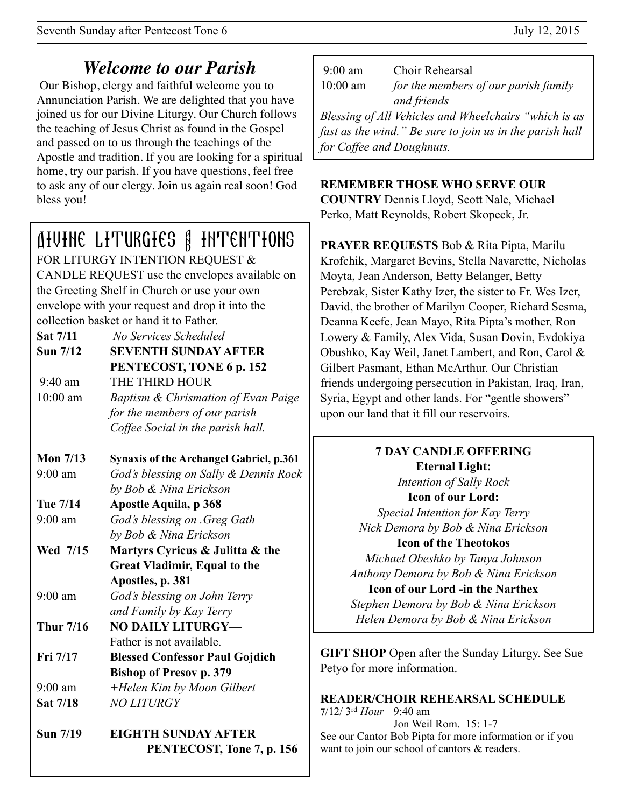# *Welcome to our Parish*

 Our Bishop, clergy and faithful welcome you to Annunciation Parish. We are delighted that you have joined us for our Divine Liturgy. Our Church follows the teaching of Jesus Christ as found in the Gospel and passed on to us through the teachings of the Apostle and tradition. If you are looking for a spiritual home, try our parish. If you have questions, feel free to ask any of our clergy. Join us again real soon! God bless you!

# Divine Liturgies & Intentions

FOR LITURGY INTENTION REQUEST & CANDLE REQUEST use the envelopes available on the Greeting Shelf in Church or use your own envelope with your request and drop it into the collection basket or hand it to Father.

| <b>Sat 7/11</b>   | No Services Scheduled               |
|-------------------|-------------------------------------|
| <b>Sun 7/12</b>   | <b>SEVENTH SUNDAY AFTER</b>         |
|                   | PENTECOST, TONE 6 p. 152            |
| $9:40 \text{ am}$ | THE THIRD HOUR                      |
| $10:00$ am        | Baptism & Chrismation of Evan Paige |
|                   | for the members of our parish       |
|                   | Coffee Social in the parish hall.   |

#### **Mon 7/13 Synaxis of the Archangel Gabriel, p.361** 9:00 am *God's blessing on Sally & Dennis Rock*

 *by Bob & Nina Erickson*

**Tue 7/14 Apostle Aquila, p 368**

- 9:00 am *God's blessing on .Greg Gath by Bob & Nina Erickson*
- **Wed 7/15 Martyrs Cyricus & Julitta & the Great Vladimir, Equal to the Apostles, p. 381**

9:00 am *God's blessing on John Terry and Family by Kay Terry*

- Thur 7/16 NO DAILY LITURGY-Father is not available.
- **Fri 7/17 Blessed Confessor Paul Gojdich Bishop of Presov p. 379** 9:00 am *+Helen Kim by Moon Gilbert* **Sat 7/18** *NO LITURGY*
- **Sun 7/19 EIGHTH SUNDAY AFTER PENTECOST, Tone 7, p. 156**

| $9:00 \text{ am}$<br>$10:00$ am                       | Choir Rehearsal<br>for the members of our parish family  |
|-------------------------------------------------------|----------------------------------------------------------|
|                                                       | and friends                                              |
| Blessing of All Vehicles and Wheelchairs "which is as |                                                          |
|                                                       | fast as the wind." Be sure to join us in the parish hall |
|                                                       | for Coffee and Doughnuts.                                |

## **REMEMBER THOSE WHO SERVE OUR**

**COUNTRY** Dennis Lloyd, Scott Nale, Michael Perko, Matt Reynolds, Robert Skopeck, Jr.

**PRAYER REQUESTS** Bob & Rita Pipta, Marilu Krofchik, Margaret Bevins, Stella Navarette, Nicholas Moyta, Jean Anderson, Betty Belanger, Betty Perebzak, Sister Kathy Izer, the sister to Fr. Wes Izer, David, the brother of Marilyn Cooper, Richard Sesma, Deanna Keefe, Jean Mayo, Rita Pipta's mother, Ron Lowery & Family, Alex Vida, Susan Dovin, Evdokiya Obushko, Kay Weil, Janet Lambert, and Ron, Carol & Gilbert Pasmant, Ethan McArthur. Our Christian friends undergoing persecution in Pakistan, Iraq, Iran, Syria, Egypt and other lands. For "gentle showers" upon our land that it fill our reservoirs.

#### **7 DAY CANDLE OFFERING Eternal Light:**  *Intention of Sally Rock*  **Icon of our Lord:**  *Special Intention for Kay Terry Nick Demora by Bob & Nina Erickson*  **Icon of the Theotokos**  *Michael Obeshko by Tanya Johnson Anthony Demora by Bob & Nina Erickson*  **Icon of our Lord -in the Narthex**  *Stephen Demora by Bob & Nina Erickson Helen Demora by Bob & Nina Erickson*

**GIFT SHOP** Open after the Sunday Liturgy. See Sue Petyo for more information.

# **READER/CHOIR REHEARSAL SCHEDULE**

**7**/12/ 3rd *Hour* 9:40 am Jon Weil Rom. 15: 1-7 See our Cantor Bob Pipta for more information or if you want to join our school of cantors & readers.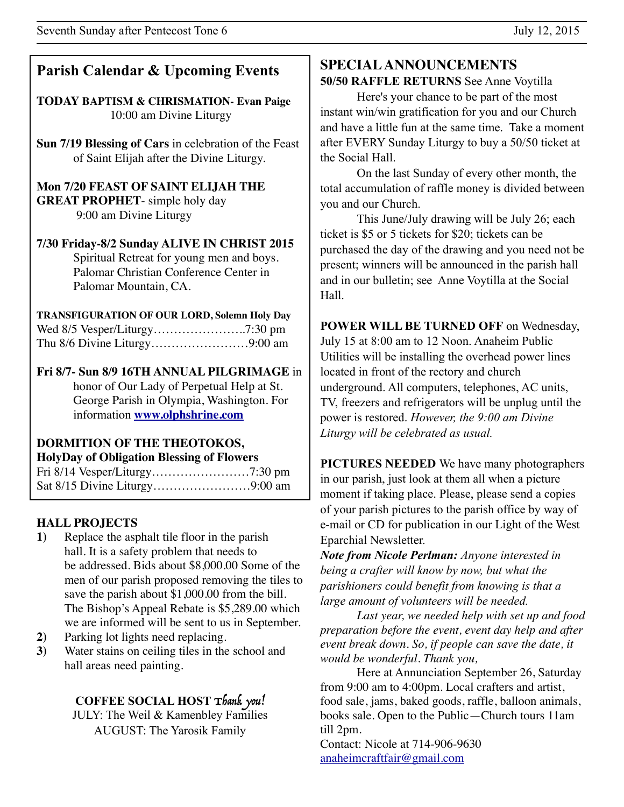## **Parish Calendar & Upcoming Events**

**TODAY BAPTISM & CHRISMATION- Evan Paige** 10:00 am Divine Liturgy

**Sun 7/19 Blessing of Cars** in celebration of the Feast of Saint Elijah after the Divine Liturgy.

**Mon 7/20 FEAST OF SAINT ELIJAH THE GREAT PROPHET**- simple holy day 9:00 am Divine Liturgy

#### **7/30 Friday-8/2 Sunday ALIVE IN CHRIST 2015**  Spiritual Retreat for young men and boys. Palomar Christian Conference Center in Palomar Mountain, CA.

**TRANSFIGURATION OF OUR LORD, Solemn Holy Day** Wed 8/5 Vesper/Liturgy…………………..7:30 pm Thu 8/6 Divine Liturgy……………………9:00 am

**Fri 8/7- Sun 8/9 16TH ANNUAL PILGRIMAGE** in honor of Our Lady of Perpetual Help at St. George Parish in Olympia, Washington. For information **[www.olphshrine.com](http://www.olphshrine.com)**

#### **DORMITION OF THE THEOTOKOS, HolyDay of Obligation Blessing of Flowers**

Fri 8/14 Vesper/Liturgy……………………7:30 pm Sat 8/15 Divine Liturgy……………………9:00 am

## **HALL PROJECTS**

- **1)** Replace the asphalt tile floor in the parish hall. It is a safety problem that needs to be addressed. Bids about \$8,000.00 Some of the men of our parish proposed removing the tiles to save the parish about \$1,000.00 from the bill. The Bishop's Appeal Rebate is \$5,289.00 which we are informed will be sent to us in September.
- **2)** Parking lot lights need replacing.
- **3)** Water stains on ceiling tiles in the school and hall areas need painting.

### **COFFEE SOCIAL HOST** Thank you!

JULY: The Weil & Kamenbley Families AUGUST: The Yarosik Family

## **SPECIAL ANNOUNCEMENTS**

**50/50 RAFFLE RETURNS** See Anne Voytilla

 Here's your chance to be part of the most instant win/win gratification for you and our Church and have a little fun at the same time. Take a moment after EVERY Sunday Liturgy to buy a 50/50 ticket at the Social Hall.

On the last Sunday of every other month, the total accumulation of raffle money is divided between you and our Church.

 This June/July drawing will be July 26; each ticket is \$5 or 5 tickets for \$20; tickets can be purchased the day of the drawing and you need not be present; winners will be announced in the parish hall and in our bulletin; see Anne Voytilla at the Social Hall.

**POWER WILL BE TURNED OFF** on Wednesday, July 15 at 8:00 am to 12 Noon. Anaheim Public Utilities will be installing the overhead power lines located in front of the rectory and church underground. All computers, telephones, AC units, TV, freezers and refrigerators will be unplug until the power is restored. *However, the 9:00 am Divine Liturgy will be celebrated as usual.*

**PICTURES NEEDED** We have many photographers in our parish, just look at them all when a picture moment if taking place. Please, please send a copies of your parish pictures to the parish office by way of e-mail or CD for publication in our Light of the West Eparchial Newsletter.

*Note from Nicole Perlman: Anyone interested in being a crafter will know by now, but what the parishioners could benefit from knowing is that a large amount of volunteers will be needed.* 

*Last year, we needed help with set up and food preparation before the event, event day help and after event break down. So, if people can save the date, it would be wonderful. Thank you,* 

Here at Annunciation September 26, Saturday from 9:00 am to 4:00pm. Local crafters and artist, food sale, jams, baked goods, raffle, balloon animals, books sale. Open to the Public—Church tours 11am till 2pm.

Contact: Nicole at 714-906-9630 [anaheimcraftfair@gmail.com](mailto:anaheimcraftfair@gmail.com)